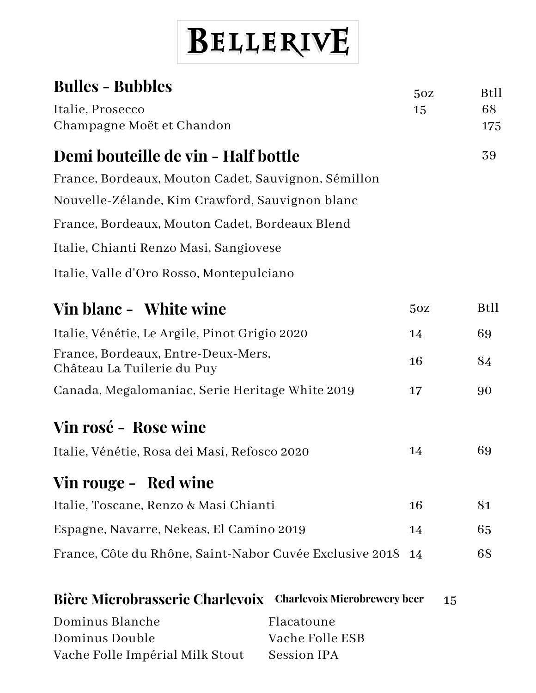## BELLERIVE

| <b>Bulles - Bubbles</b>                                          |                 | 50Z         | <b>Btll</b> |
|------------------------------------------------------------------|-----------------|-------------|-------------|
| Italie, Prosecco                                                 | 15              | 68          |             |
| Champagne Moët et Chandon                                        |                 | 175         |             |
| Demi bouteille de vin - Half bottle                              |                 |             | 39          |
| France, Bordeaux, Mouton Cadet, Sauvignon, Sémillon              |                 |             |             |
| Nouvelle-Zélande, Kim Crawford, Sauvignon blanc                  |                 |             |             |
| France, Bordeaux, Mouton Cadet, Bordeaux Blend                   |                 |             |             |
| Italie, Chianti Renzo Masi, Sangiovese                           |                 |             |             |
| Italie, Valle d'Oro Rosso, Montepulciano                         |                 |             |             |
| Vin blanc - White wine                                           | 50Z             | <b>Btll</b> |             |
| Italie, Vénétie, Le Argile, Pinot Grigio 2020                    | 14              | 69          |             |
| France, Bordeaux, Entre-Deux-Mers,<br>Château La Tuilerie du Puy | 16              | 84          |             |
| Canada, Megalomaniac, Serie Heritage White 2019                  | 17              | 90          |             |
| Vin rosé - Rose wine                                             |                 |             |             |
| Italie, Vénétie, Rosa dei Masi, Refosco 2020                     | 14              | 69          |             |
| Vin rouge - Red wine                                             |                 |             |             |
| Italie, Toscane, Renzo & Masi Chianti                            | 16              | 81          |             |
| Espagne, Navarre, Nekeas, El Camino 2019                         | 14              | 65          |             |
| France, Côte du Rhône, Saint-Nabor Cuvée Exclusive 2018          | 14              | 68          |             |
| Bière Microbrasserie Charlevoix Charlevoix Microbrewery beer     |                 | 15          |             |
| Dominus Blanche                                                  | Flacatoune      |             |             |
| Dominus Double                                                   | Vache Folle ESB |             |             |
| Vache Folle Impérial Milk Stout                                  | Session IPA     |             |             |